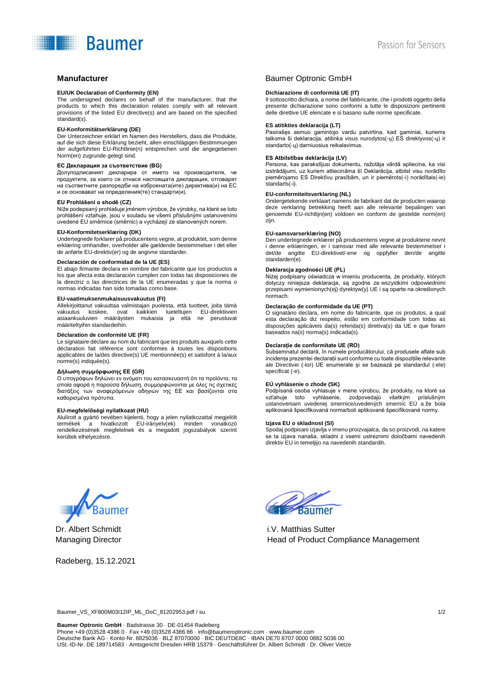# **Baumer**

#### **EU/UK Declaration of Conformity (EN)**

The undersigned declares on behalf of the manufacturer, that the products to which this declaration relates comply with all relevant provisions of the listed EU directive(s) and are based on the specified standard(s).

#### **EU-Konformitätserklärung (DE)**

Der Unterzeichner erklärt im Namen des Herstellers, dass die Produkte, auf die sich diese Erklärung bezieht, allen einschlägigen Bestimmungen der aufgeführten EU-Richtlinie(n) entsprechen und die angegebenen Norm(en) zugrunde gelegt sind.

#### **ЕС Декларация за съответствие (BG)**

Долуподписаният декларира от името на производителя, че продуктите, за които се отнася настоящата декларация, отговарят на съответните разпоредби на изброената(ите) директива(и) на ЕС и се основават на определения(те) стандарти(и).

#### **EU Prohlášení o shodě (CZ)**

Níže podepsaný prohlašuje jménem výrobce, že výrobky, na které se toto prohlášení vztahuje, jsou v souladu se všemi příslušnými ustanoveními uvedené EU směrnice (směrnic) a vycházejí ze stanovených norem.

### **EU-Konformitetserklæring (DK)**

Undertegnede forklarer på producentens vegne, at produktet, som denne erklæring omhandler, overholder alle gældende bestemmelser i det eller de anførte EU-direktiv(er) og de angivne standarder.

#### **Declaración de conformidad de la UE (ES)**

El abajo firmante declara en nombre del fabricante que los productos a los que afecta esta declaración cumplen con todas las disposiciones de la directriz o las directrices de la UE enumeradas y que la norma o normas indicadas han sido tomadas como base.

#### **EU-vaatimuksenmukaisuusvakuutus (FI)**

Allekirjoittanut vakuuttaa valmistajan puolesta, että tuotteet, joita tämä vakuutus koskee, ovat kaikkien lueteltujen EU-direktiivien asiaankuuluvien määräysten mukaisia ja että ne perustuvat määriteltyihin standardeihin.

#### **Déclaration de conformité UE (FR)**

Le signataire déclare au nom du fabricant que les produits auxquels cette déclaration fait référence sont conformes à toutes les dispositions applicables de la/des directive(s) UE mentionnée(s) et satisfont à la/aux norme(s) indiquée(s).

#### **Δήλωση συμμόρφωσης ΕΕ (GR)**

Ο υπογράφων δηλώνει εν ονόματι του κατασκευαστή ότι τα προϊόντα, τα οποία αφορά η παρούσα δήλωση, συμμορφώνονται με όλες τις σχετικές διατάξεις των αναφερόμενων οδηγιών της ΕΕ και βασίζονται στα καθορισμένα πρότυπα.

#### **EU-megfelelőségi nyilatkozat (HU)**

Alulírott a gyártó nevében kijelenti, hogy a jelen nyilatkozattal megjelölt termékek a hivatkozott EU-irányelv(ek) minden vonatkozó rendelkezésének megfelelnek és a megadott jogszabályok szerint kerültek elhelyezésre.

## **Manufacturer Combine Combine Combine Combine Combine Combine Combine Combine Combine Combine Combine Combine Combine Combine Combine Combine Combine Combine Combine Combine Combine Combine Combine Combine Combine Combine**

#### **Dichiarazione di conformità UE (IT)**

Il sottoscritto dichiara, a nome del fabbricante, che i prodotti oggetto della presente dichiarazione sono conformi a tutte le disposizioni pertinenti delle direttive UE elencate e si basano sulle norme specificate.

#### **ES atitikties deklaracija (LT)**

Pasirašęs asmuo gamintojo vardu patvirtina, kad gaminiai, kuriems taikoma ši deklaracija, atitinka visus nurodytos(-ų) ES direktyvos(-ų) ir standarto(-ų) darniuosius reikalavimus.

#### **ES Atbilstības deklarācija (LV)**

Persona, kas parakstījusi dokumentu, ražotāja vārdā apliecina, ka visi izstrādājumi, uz kuriem attiecināma šī Deklarācija, atbilst visu norādīto piemērojamo ES Direktīvu prasībām, un ir piemērots(-i) norādītais(-ie) standarts(-i).

#### **EU-conformiteitsverklaring (NL)**

Ondergetekende verklaart namens de fabrikant dat de producten waarop deze verklaring betrekking heeft aan alle relevante bepalingen van genoemde EU-richtlijn(en) voldoen en conform de gestelde norm(en) zijn.

#### **EU-samsvarserklæring (NO)**

Den undertegnede erklærer på produsentens vegne at produktene nevnt i denne erklæringen, er i samsvar med alle relevante bestemmelser i det/de angitte EU-direktivet/-ene og oppfyller den/de angitte standarden(e).

#### **Deklaracja zgodności UE (PL)**

Niżej podpisany oświadcza w imieniu producenta, że produkty, których dotyczy niniejsza deklaracja, są zgodne ze wszystkimi odpowiednimi przepisami wymienionych(ej) dyrektyw(y) UE i są oparte na określonych normach.

#### **Declaração de conformidade da UE (PT)**

O signatário declara, em nome do fabricante, que os produtos, a qual esta declaração diz respeito, estão em conformidade com todas as disposições aplicáveis da(s) referida(s) diretiva(s) da UE e que foram baseados na(s) norma(s) indicada(s).

#### **Declarație de conformitate UE (RO)**

Subsemnatul declară, în numele producătorului, că produsele aflate sub incidența prezentei declarații sunt conforme cu toate dispozițiile relevante ale Directivei (-lor) UE enumerate și se bazează pe standardul (-ele) specificat (-e).

#### **EÚ vyhlásenie o zhode (SK)**

Podpísaná osoba vyhlasuje v mene výrobcu, že produkty, na ktoré sa vzťahuje toto vyhlásenie, zodpovedajú všetkým príslušným ustanoveniam uvedenej smernice/uvedených smerníc EÚ a že bola aplikovaná špecifikovaná norma/boli aplikované špecifikované normy.

#### **Izjava EU o skladnost (SI)**

Spodaj podpisani izjavlja v imenu proizvajalca, da so proizvodi, na katere se ta izjava nanaša, skladni z vsemi ustreznimi določbami navedenih direktiv EU in temeljijo na navedenih standardih.



Dr. Albert Schmidt Managing Director

Radeberg, 15.12.2021



i.V. Matthias Sutter Head of Product Compliance Management

Baumer\_VS\_XF800M03I12IP\_ML\_DoC\_81202953.pdf / su 1/2

**Baumer Optronic GmbH** · Badstrasse 30 · DE-01454 Radeberg Phone +49 (0)3528 4386 0 · Fax +49 (0)3528 4386 86 [· info@baumeroptronic.com](mailto:info@baumeroptronic.com) [· www.baumer.com](http://www.baumer.com/) Deutsche Bank AG · Konto-Nr. 8825036 · BLZ 87070000 · BIC DEUTDE8C · IBAN DE70 8707 0000 0882 5036 00 USt.-ID-Nr. DE 189714583 · Amtsgericht Dresden HRB 15379 · Geschäftsführer Dr. Albert Schmidt · Dr. Oliver Vietze